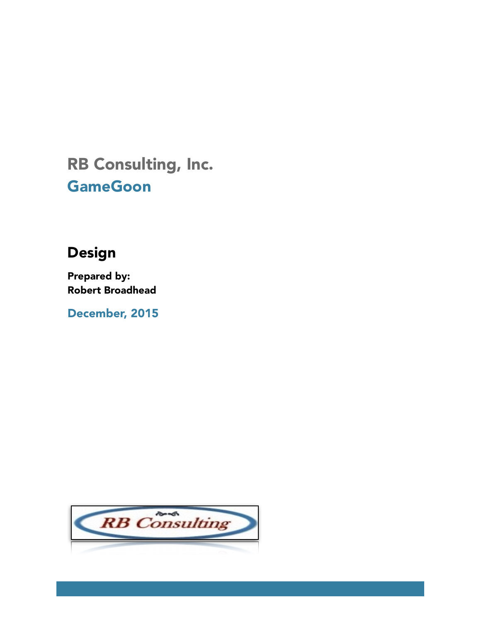# RB Consulting, Inc. **GameGoon**

# **Design**

**Prepared by: Robert Broadhead** 

December, 2015

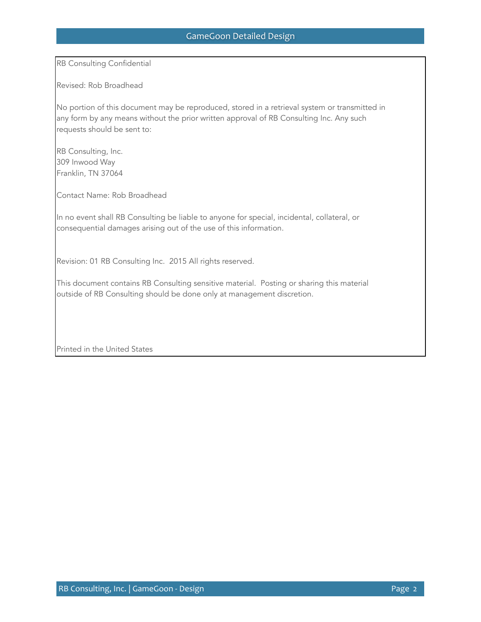RB Consulting Confidential

Revised: Rob Broadhead

No portion of this document may be reproduced, stored in a retrieval system or transmitted in any form by any means without the prior written approval of RB Consulting Inc. Any such requests should be sent to:

RB Consulting, Inc. 309 Inwood Way Franklin, TN 37064

Contact Name: Rob Broadhead

In no event shall RB Consulting be liable to anyone for special, incidental, collateral, or consequential damages arising out of the use of this information.

Revision: 01 RB Consulting Inc. 2015 All rights reserved.

This document contains RB Consulting sensitive material. Posting or sharing this material outside of RB Consulting should be done only at management discretion.

Printed in the United States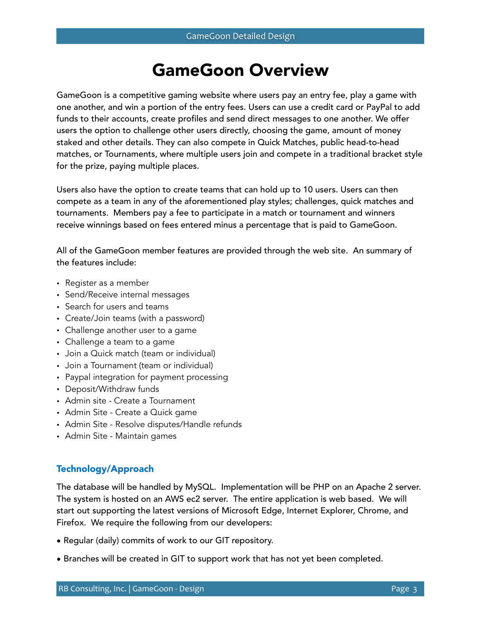# GameGoon Overview

GameGoon is a competitive gaming website where users pay an entry fee, play a game with one another, and win a portion of the entry fees. Users can use a credit card or PayPal to add funds to their accounts, create profiles and send direct messages to one another. We offer users the option to challenge other users directly, choosing the game, amount of money staked and other details. They can also compete in Quick Matches, public head-to-head matches, or Tournaments, where multiple users join and compete in a traditional bracket style for the prize, paying multiple places.

Users also have the option to create teams that can hold up to 10 users. Users can then compete as a team in any of the aforementioned play styles; challenges, quick matches and tournaments. Members pay a fee to participate in a match or tournament and winners receive winnings based on fees entered minus a percentage that is paid to GameGoon.

All of the GameGoon member features are provided through the web site. An summary of the features include:

- Register as a member
- Send/Receive internal messages
- Search for users and teams
- Create/Join teams (with a password)
- Challenge another user to a game
- Challenge a team to a game
- Join a Quick match (team or individual)
- Join a Tournament (team or individual)
- Paypal integration for payment processing
- Deposit/Withdraw funds
- Admin site Create a Tournament
- Admin Site Create a Quick game
- Admin Site Resolve disputes/Handle refunds
- Admin Site Maintain games

# Technology/Approach

The database will be handled by MySQL. Implementation will be PHP on an Apache 2 server. The system is hosted on an AWS ec2 server. The entire application is web based. We will start out supporting the latest versions of Microsoft Edge, Internet Explorer, Chrome, and Firefox. We require the following from our developers:

- Regular (daily) commits of work to our GIT repository.
- Branches will be created in GIT to support work that has not yet been completed.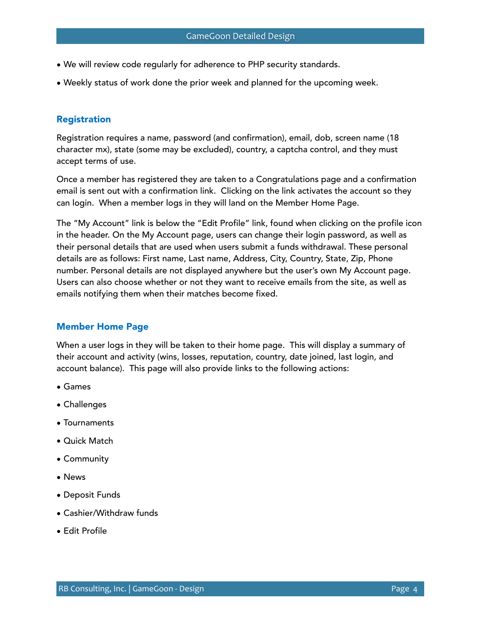- We will review code regularly for adherence to PHP security standards.
- Weekly status of work done the prior week and planned for the upcoming week.

### Registration

Registration requires a name, password (and confirmation), email, dob, screen name (18 character mx), state (some may be excluded), country, a captcha control, and they must accept terms of use.

Once a member has registered they are taken to a Congratulations page and a confirmation email is sent out with a confirmation link. Clicking on the link activates the account so they can login. When a member logs in they will land on the Member Home Page.

The "My Account" link is below the "Edit Profile" link, found when clicking on the profile icon in the header. On the My Account page, users can change their login password, as well as their personal details that are used when users submit a funds withdrawal. These personal details are as follows: First name, Last name, Address, City, Country, State, Zip, Phone number. Personal details are not displayed anywhere but the user's own My Account page. Users can also choose whether or not they want to receive emails from the site, as well as emails notifying them when their matches become fixed.

### Member Home Page

When a user logs in they will be taken to their home page. This will display a summary of their account and activity (wins, losses, reputation, country, date joined, last login, and account balance). This page will also provide links to the following actions:

- Games
- Challenges
- Tournaments
- Quick Match
- Community
- News
- Deposit Funds
- Cashier/Withdraw funds
- Edit Profile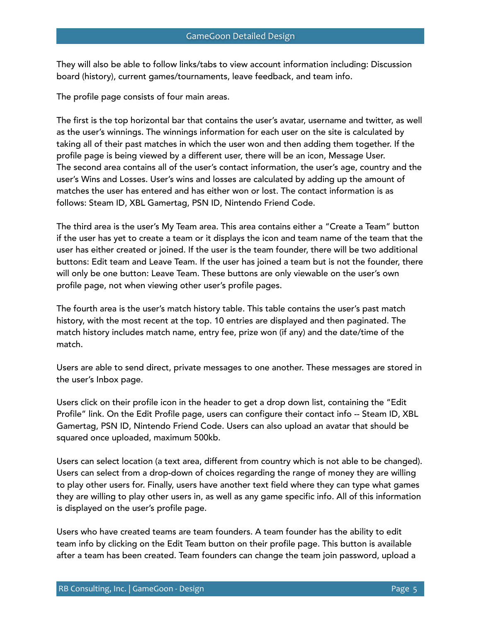They will also be able to follow links/tabs to view account information including: Discussion board (history), current games/tournaments, leave feedback, and team info.

The profile page consists of four main areas.

The first is the top horizontal bar that contains the user's avatar, username and twitter, as well as the user's winnings. The winnings information for each user on the site is calculated by taking all of their past matches in which the user won and then adding them together. If the profile page is being viewed by a different user, there will be an icon, Message User. The second area contains all of the user's contact information, the user's age, country and the user's Wins and Losses. User's wins and losses are calculated by adding up the amount of matches the user has entered and has either won or lost. The contact information is as follows: Steam ID, XBL Gamertag, PSN ID, Nintendo Friend Code.

The third area is the user's My Team area. This area contains either a "Create a Team" button if the user has yet to create a team or it displays the icon and team name of the team that the user has either created or joined. If the user is the team founder, there will be two additional buttons: Edit team and Leave Team. If the user has joined a team but is not the founder, there will only be one button: Leave Team. These buttons are only viewable on the user's own profile page, not when viewing other user's profile pages.

The fourth area is the user's match history table. This table contains the user's past match history, with the most recent at the top. 10 entries are displayed and then paginated. The match history includes match name, entry fee, prize won (if any) and the date/time of the match.

Users are able to send direct, private messages to one another. These messages are stored in the user's Inbox page.

Users click on their profile icon in the header to get a drop down list, containing the "Edit Profile" link. On the Edit Profile page, users can configure their contact info -- Steam ID, XBL Gamertag, PSN ID, Nintendo Friend Code. Users can also upload an avatar that should be squared once uploaded, maximum 500kb.

Users can select location (a text area, different from country which is not able to be changed). Users can select from a drop-down of choices regarding the range of money they are willing to play other users for. Finally, users have another text field where they can type what games they are willing to play other users in, as well as any game specific info. All of this information is displayed on the user's profile page.

Users who have created teams are team founders. A team founder has the ability to edit team info by clicking on the Edit Team button on their profile page. This button is available after a team has been created. Team founders can change the team join password, upload a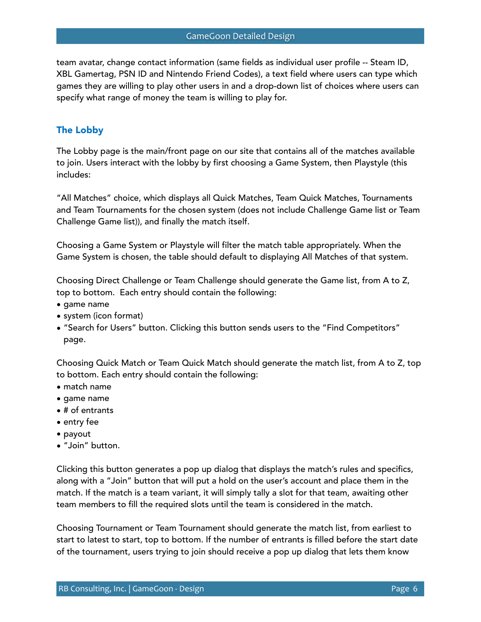team avatar, change contact information (same fields as individual user profile -- Steam ID, XBL Gamertag, PSN ID and Nintendo Friend Codes), a text field where users can type which games they are willing to play other users in and a drop-down list of choices where users can specify what range of money the team is willing to play for.

# The Lobby

The Lobby page is the main/front page on our site that contains all of the matches available to join. Users interact with the lobby by first choosing a Game System, then Playstyle (this includes:

"All Matches" choice, which displays all Quick Matches, Team Quick Matches, Tournaments and Team Tournaments for the chosen system (does not include Challenge Game list or Team Challenge Game list)), and finally the match itself.

Choosing a Game System or Playstyle will filter the match table appropriately. When the Game System is chosen, the table should default to displaying All Matches of that system.

Choosing Direct Challenge or Team Challenge should generate the Game list, from A to Z, top to bottom. Each entry should contain the following:

- game name
- system (icon format)
- "Search for Users" button. Clicking this button sends users to the "Find Competitors" page.

Choosing Quick Match or Team Quick Match should generate the match list, from A to Z, top to bottom. Each entry should contain the following:

- match name
- game name
- # of entrants
- entry fee
- payout
- "Join" button.

Clicking this button generates a pop up dialog that displays the match's rules and specifics, along with a "Join" button that will put a hold on the user's account and place them in the match. If the match is a team variant, it will simply tally a slot for that team, awaiting other team members to fill the required slots until the team is considered in the match.

Choosing Tournament or Team Tournament should generate the match list, from earliest to start to latest to start, top to bottom. If the number of entrants is filled before the start date of the tournament, users trying to join should receive a pop up dialog that lets them know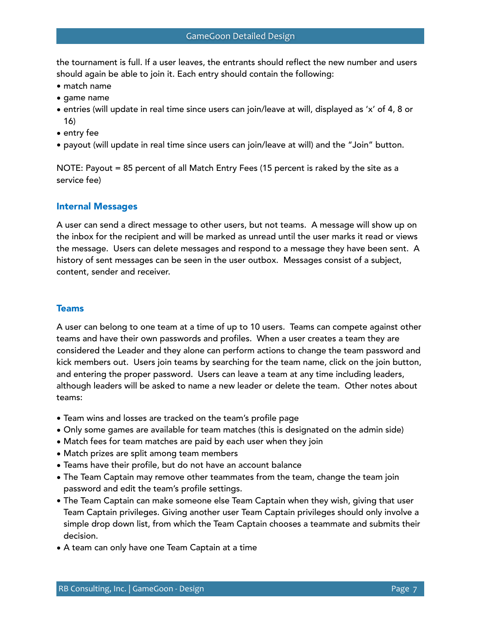the tournament is full. If a user leaves, the entrants should reflect the new number and users should again be able to join it. Each entry should contain the following:

- match name
- game name
- entries (will update in real time since users can join/leave at will, displayed as 'x' of 4, 8 or 16)
- entry fee
- payout (will update in real time since users can join/leave at will) and the "Join" button.

NOTE: Payout = 85 percent of all Match Entry Fees (15 percent is raked by the site as a service fee)

### Internal Messages

A user can send a direct message to other users, but not teams. A message will show up on the inbox for the recipient and will be marked as unread until the user marks it read or views the message. Users can delete messages and respond to a message they have been sent. A history of sent messages can be seen in the user outbox. Messages consist of a subject, content, sender and receiver.

## Teams

A user can belong to one team at a time of up to 10 users. Teams can compete against other teams and have their own passwords and profiles. When a user creates a team they are considered the Leader and they alone can perform actions to change the team password and kick members out. Users join teams by searching for the team name, click on the join button, and entering the proper password. Users can leave a team at any time including leaders, although leaders will be asked to name a new leader or delete the team. Other notes about teams:

- Team wins and losses are tracked on the team's profile page
- Only some games are available for team matches (this is designated on the admin side)
- Match fees for team matches are paid by each user when they join
- Match prizes are split among team members
- Teams have their profile, but do not have an account balance
- The Team Captain may remove other teammates from the team, change the team join password and edit the team's profile settings.
- The Team Captain can make someone else Team Captain when they wish, giving that user Team Captain privileges. Giving another user Team Captain privileges should only involve a simple drop down list, from which the Team Captain chooses a teammate and submits their decision.
- A team can only have one Team Captain at a time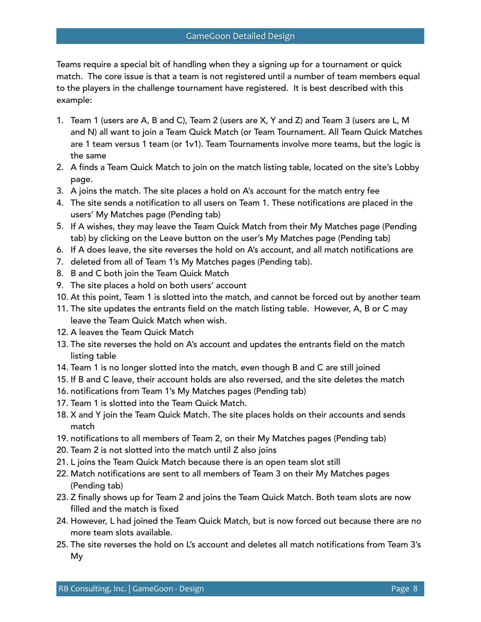Teams require a special bit of handling when they a signing up for a tournament or quick match. The core issue is that a team is not registered until a number of team members equal to the players in the challenge tournament have registered. It is best described with this example:

- 1. Team 1 (users are A, B and C), Team 2 (users are X, Y and Z) and Team 3 (users are L, M and N) all want to join a Team Quick Match (or Team Tournament. All Team Quick Matches are 1 team versus 1 team (or 1v1). Team Tournaments involve more teams, but the logic is the same
- 2. A finds a Team Quick Match to join on the match listing table, located on the site's Lobby page.
- 3. A joins the match. The site places a hold on A's account for the match entry fee
- 4. The site sends a notification to all users on Team 1. These notifications are placed in the users' My Matches page (Pending tab)
- 5. If A wishes, they may leave the Team Quick Match from their My Matches page (Pending tab) by clicking on the Leave button on the user's My Matches page (Pending tab)
- 6. If A does leave, the site reverses the hold on A's account, and all match notifications are
- 7. deleted from all of Team 1's My Matches pages (Pending tab).
- 8. B and C both join the Team Quick Match
- 9. The site places a hold on both users' account
- 10. At this point, Team 1 is slotted into the match, and cannot be forced out by another team
- 11. The site updates the entrants field on the match listing table. However, A, B or C may leave the Team Quick Match when wish.
- 12. A leaves the Team Quick Match
- 13. The site reverses the hold on A's account and updates the entrants field on the match listing table
- 14. Team 1 is no longer slotted into the match, even though B and C are still joined
- 15. If B and C leave, their account holds are also reversed, and the site deletes the match
- 16. notifications from Team 1's My Matches pages (Pending tab)
- 17. Team 1 is slotted into the Team Quick Match.
- 18. X and Y join the Team Quick Match. The site places holds on their accounts and sends match
- 19. notifications to all members of Team 2, on their My Matches pages (Pending tab)
- 20. Team 2 is not slotted into the match until Z also joins
- 21. L joins the Team Quick Match because there is an open team slot still
- 22. Match notifications are sent to all members of Team 3 on their My Matches pages (Pending tab)
- 23. Z finally shows up for Team 2 and joins the Team Quick Match. Both team slots are now filled and the match is fixed
- 24. However, L had joined the Team Quick Match, but is now forced out because there are no more team slots available.
- 25. The site reverses the hold on L's account and deletes all match notifications from Team 3's My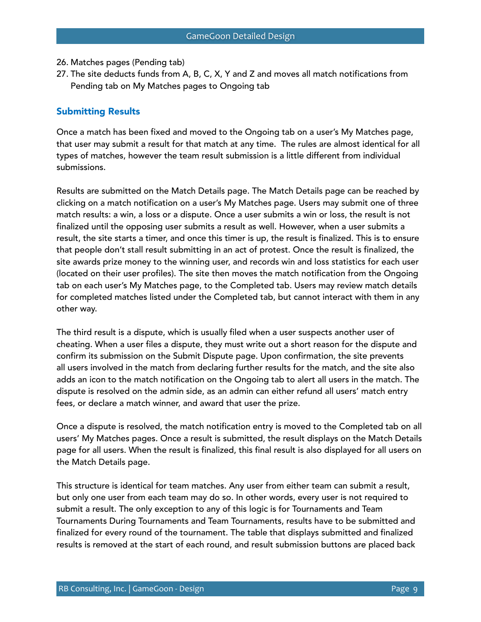- 26. Matches pages (Pending tab)
- 27. The site deducts funds from A, B, C, X, Y and Z and moves all match notifications from Pending tab on My Matches pages to Ongoing tab

### Submitting Results

Once a match has been fixed and moved to the Ongoing tab on a user's My Matches page, that user may submit a result for that match at any time. The rules are almost identical for all types of matches, however the team result submission is a little different from individual submissions.

Results are submitted on the Match Details page. The Match Details page can be reached by clicking on a match notification on a user's My Matches page. Users may submit one of three match results: a win, a loss or a dispute. Once a user submits a win or loss, the result is not finalized until the opposing user submits a result as well. However, when a user submits a result, the site starts a timer, and once this timer is up, the result is finalized. This is to ensure that people don't stall result submitting in an act of protest. Once the result is finalized, the site awards prize money to the winning user, and records win and loss statistics for each user (located on their user profiles). The site then moves the match notification from the Ongoing tab on each user's My Matches page, to the Completed tab. Users may review match details for completed matches listed under the Completed tab, but cannot interact with them in any other way.

The third result is a dispute, which is usually filed when a user suspects another user of cheating. When a user files a dispute, they must write out a short reason for the dispute and confirm its submission on the Submit Dispute page. Upon confirmation, the site prevents all users involved in the match from declaring further results for the match, and the site also adds an icon to the match notification on the Ongoing tab to alert all users in the match. The dispute is resolved on the admin side, as an admin can either refund all users' match entry fees, or declare a match winner, and award that user the prize.

Once a dispute is resolved, the match notification entry is moved to the Completed tab on all users' My Matches pages. Once a result is submitted, the result displays on the Match Details page for all users. When the result is finalized, this final result is also displayed for all users on the Match Details page.

This structure is identical for team matches. Any user from either team can submit a result, but only one user from each team may do so. In other words, every user is not required to submit a result. The only exception to any of this logic is for Tournaments and Team Tournaments During Tournaments and Team Tournaments, results have to be submitted and finalized for every round of the tournament. The table that displays submitted and finalized results is removed at the start of each round, and result submission buttons are placed back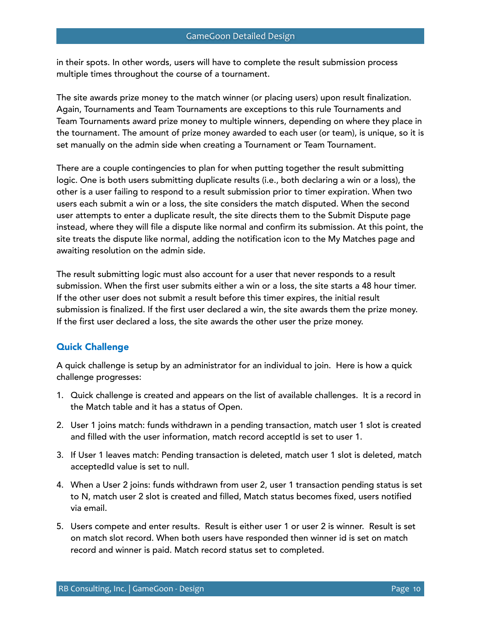in their spots. In other words, users will have to complete the result submission process multiple times throughout the course of a tournament.

The site awards prize money to the match winner (or placing users) upon result finalization. Again, Tournaments and Team Tournaments are exceptions to this rule Tournaments and Team Tournaments award prize money to multiple winners, depending on where they place in the tournament. The amount of prize money awarded to each user (or team), is unique, so it is set manually on the admin side when creating a Tournament or Team Tournament.

There are a couple contingencies to plan for when putting together the result submitting logic. One is both users submitting duplicate results (i.e., both declaring a win or a loss), the other is a user failing to respond to a result submission prior to timer expiration. When two users each submit a win or a loss, the site considers the match disputed. When the second user attempts to enter a duplicate result, the site directs them to the Submit Dispute page instead, where they will file a dispute like normal and confirm its submission. At this point, the site treats the dispute like normal, adding the notification icon to the My Matches page and awaiting resolution on the admin side.

The result submitting logic must also account for a user that never responds to a result submission. When the first user submits either a win or a loss, the site starts a 48 hour timer. If the other user does not submit a result before this timer expires, the initial result submission is finalized. If the first user declared a win, the site awards them the prize money. If the first user declared a loss, the site awards the other user the prize money.

# Quick Challenge

A quick challenge is setup by an administrator for an individual to join. Here is how a quick challenge progresses:

- 1. Quick challenge is created and appears on the list of available challenges. It is a record in the Match table and it has a status of Open.
- 2. User 1 joins match: funds withdrawn in a pending transaction, match user 1 slot is created and filled with the user information, match record acceptId is set to user 1.
- 3. If User 1 leaves match: Pending transaction is deleted, match user 1 slot is deleted, match acceptedId value is set to null.
- 4. When a User 2 joins: funds withdrawn from user 2, user 1 transaction pending status is set to N, match user 2 slot is created and filled, Match status becomes fixed, users notified via email.
- 5. Users compete and enter results. Result is either user 1 or user 2 is winner. Result is set on match slot record. When both users have responded then winner id is set on match record and winner is paid. Match record status set to completed.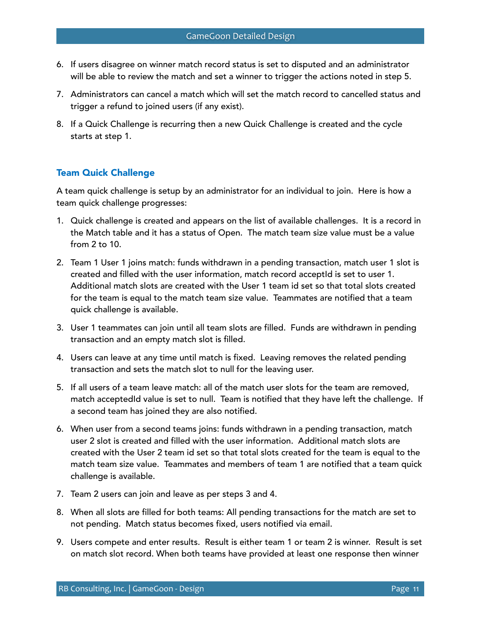- 6. If users disagree on winner match record status is set to disputed and an administrator will be able to review the match and set a winner to trigger the actions noted in step 5.
- 7. Administrators can cancel a match which will set the match record to cancelled status and trigger a refund to joined users (if any exist).
- 8. If a Quick Challenge is recurring then a new Quick Challenge is created and the cycle starts at step 1.

# Team Quick Challenge

A team quick challenge is setup by an administrator for an individual to join. Here is how a team quick challenge progresses:

- 1. Quick challenge is created and appears on the list of available challenges. It is a record in the Match table and it has a status of Open. The match team size value must be a value from 2 to 10.
- 2. Team 1 User 1 joins match: funds withdrawn in a pending transaction, match user 1 slot is created and filled with the user information, match record acceptId is set to user 1. Additional match slots are created with the User 1 team id set so that total slots created for the team is equal to the match team size value. Teammates are notified that a team quick challenge is available.
- 3. User 1 teammates can join until all team slots are filled. Funds are withdrawn in pending transaction and an empty match slot is filled.
- 4. Users can leave at any time until match is fixed. Leaving removes the related pending transaction and sets the match slot to null for the leaving user.
- 5. If all users of a team leave match: all of the match user slots for the team are removed, match acceptedId value is set to null. Team is notified that they have left the challenge. If a second team has joined they are also notified.
- 6. When user from a second teams joins: funds withdrawn in a pending transaction, match user 2 slot is created and filled with the user information. Additional match slots are created with the User 2 team id set so that total slots created for the team is equal to the match team size value. Teammates and members of team 1 are notified that a team quick challenge is available.
- 7. Team 2 users can join and leave as per steps 3 and 4.
- 8. When all slots are filled for both teams: All pending transactions for the match are set to not pending. Match status becomes fixed, users notified via email.
- 9. Users compete and enter results. Result is either team 1 or team 2 is winner. Result is set on match slot record. When both teams have provided at least one response then winner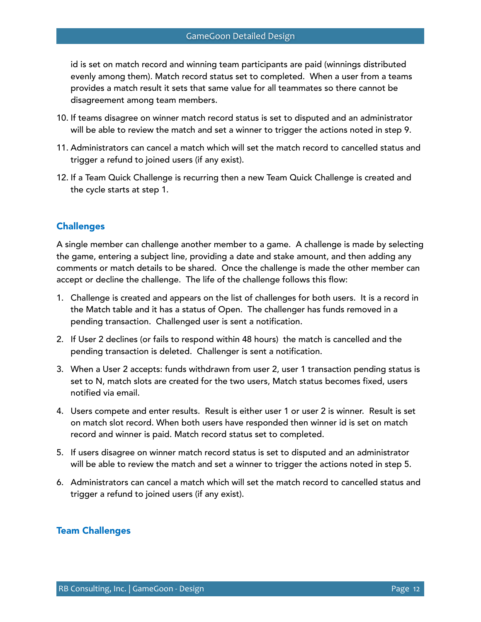id is set on match record and winning team participants are paid (winnings distributed evenly among them). Match record status set to completed. When a user from a teams provides a match result it sets that same value for all teammates so there cannot be disagreement among team members.

- 10. If teams disagree on winner match record status is set to disputed and an administrator will be able to review the match and set a winner to trigger the actions noted in step 9.
- 11. Administrators can cancel a match which will set the match record to cancelled status and trigger a refund to joined users (if any exist).
- 12. If a Team Quick Challenge is recurring then a new Team Quick Challenge is created and the cycle starts at step 1.

# **Challenges**

A single member can challenge another member to a game. A challenge is made by selecting the game, entering a subject line, providing a date and stake amount, and then adding any comments or match details to be shared. Once the challenge is made the other member can accept or decline the challenge. The life of the challenge follows this flow:

- 1. Challenge is created and appears on the list of challenges for both users. It is a record in the Match table and it has a status of Open. The challenger has funds removed in a pending transaction. Challenged user is sent a notification.
- 2. If User 2 declines (or fails to respond within 48 hours) the match is cancelled and the pending transaction is deleted. Challenger is sent a notification.
- 3. When a User 2 accepts: funds withdrawn from user 2, user 1 transaction pending status is set to N, match slots are created for the two users, Match status becomes fixed, users notified via email.
- 4. Users compete and enter results. Result is either user 1 or user 2 is winner. Result is set on match slot record. When both users have responded then winner id is set on match record and winner is paid. Match record status set to completed.
- 5. If users disagree on winner match record status is set to disputed and an administrator will be able to review the match and set a winner to trigger the actions noted in step 5.
- 6. Administrators can cancel a match which will set the match record to cancelled status and trigger a refund to joined users (if any exist).

## Team Challenges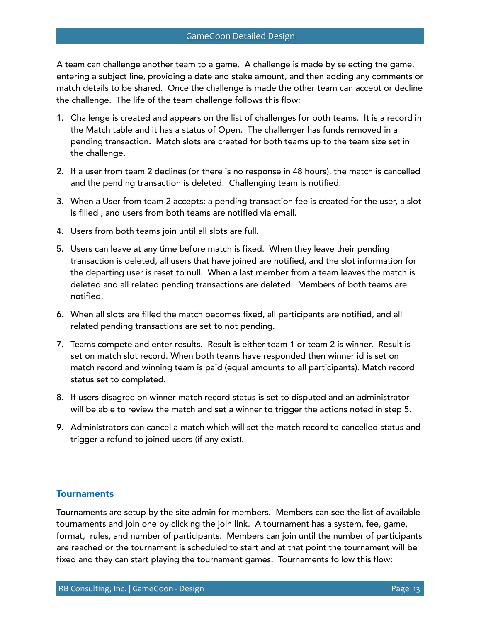A team can challenge another team to a game. A challenge is made by selecting the game, entering a subject line, providing a date and stake amount, and then adding any comments or match details to be shared. Once the challenge is made the other team can accept or decline the challenge. The life of the team challenge follows this flow:

- 1. Challenge is created and appears on the list of challenges for both teams. It is a record in the Match table and it has a status of Open. The challenger has funds removed in a pending transaction. Match slots are created for both teams up to the team size set in the challenge.
- 2. If a user from team 2 declines (or there is no response in 48 hours), the match is cancelled and the pending transaction is deleted. Challenging team is notified.
- 3. When a User from team 2 accepts: a pending transaction fee is created for the user, a slot is filled , and users from both teams are notified via email.
- 4. Users from both teams join until all slots are full.
- 5. Users can leave at any time before match is fixed. When they leave their pending transaction is deleted, all users that have joined are notified, and the slot information for the departing user is reset to null. When a last member from a team leaves the match is deleted and all related pending transactions are deleted. Members of both teams are notified.
- 6. When all slots are filled the match becomes fixed, all participants are notified, and all related pending transactions are set to not pending.
- 7. Teams compete and enter results. Result is either team 1 or team 2 is winner. Result is set on match slot record. When both teams have responded then winner id is set on match record and winning team is paid (equal amounts to all participants). Match record status set to completed.
- 8. If users disagree on winner match record status is set to disputed and an administrator will be able to review the match and set a winner to trigger the actions noted in step 5.
- 9. Administrators can cancel a match which will set the match record to cancelled status and trigger a refund to joined users (if any exist).

## **Tournaments**

Tournaments are setup by the site admin for members. Members can see the list of available tournaments and join one by clicking the join link. A tournament has a system, fee, game, format, rules, and number of participants. Members can join until the number of participants are reached or the tournament is scheduled to start and at that point the tournament will be fixed and they can start playing the tournament games. Tournaments follow this flow: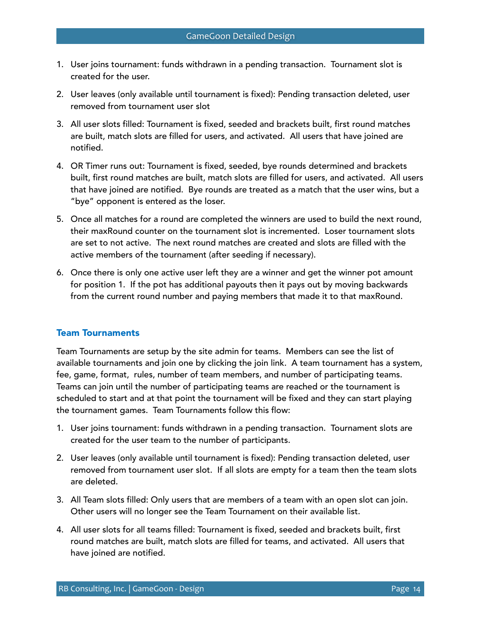- 1. User joins tournament: funds withdrawn in a pending transaction. Tournament slot is created for the user.
- 2. User leaves (only available until tournament is fixed): Pending transaction deleted, user removed from tournament user slot
- 3. All user slots filled: Tournament is fixed, seeded and brackets built, first round matches are built, match slots are filled for users, and activated. All users that have joined are notified.
- 4. OR Timer runs out: Tournament is fixed, seeded, bye rounds determined and brackets built, first round matches are built, match slots are filled for users, and activated. All users that have joined are notified. Bye rounds are treated as a match that the user wins, but a "bye" opponent is entered as the loser.
- 5. Once all matches for a round are completed the winners are used to build the next round, their maxRound counter on the tournament slot is incremented. Loser tournament slots are set to not active. The next round matches are created and slots are filled with the active members of the tournament (after seeding if necessary).
- 6. Once there is only one active user left they are a winner and get the winner pot amount for position 1. If the pot has additional payouts then it pays out by moving backwards from the current round number and paying members that made it to that maxRound.

## Team Tournaments

Team Tournaments are setup by the site admin for teams. Members can see the list of available tournaments and join one by clicking the join link. A team tournament has a system, fee, game, format, rules, number of team members, and number of participating teams. Teams can join until the number of participating teams are reached or the tournament is scheduled to start and at that point the tournament will be fixed and they can start playing the tournament games. Team Tournaments follow this flow:

- 1. User joins tournament: funds withdrawn in a pending transaction. Tournament slots are created for the user team to the number of participants.
- 2. User leaves (only available until tournament is fixed): Pending transaction deleted, user removed from tournament user slot. If all slots are empty for a team then the team slots are deleted.
- 3. All Team slots filled: Only users that are members of a team with an open slot can join. Other users will no longer see the Team Tournament on their available list.
- 4. All user slots for all teams filled: Tournament is fixed, seeded and brackets built, first round matches are built, match slots are filled for teams, and activated. All users that have joined are notified.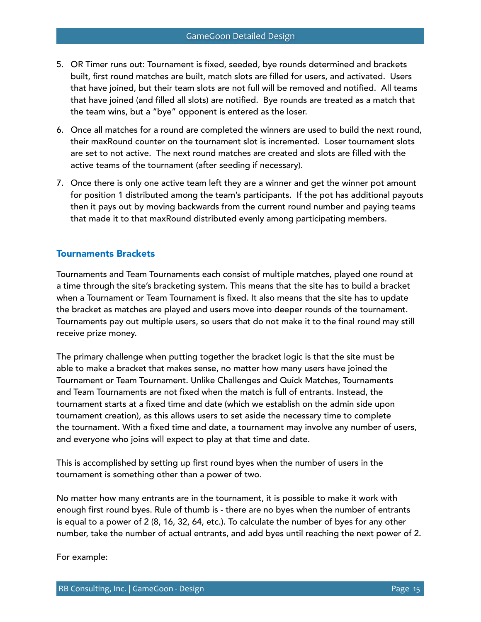- 5. OR Timer runs out: Tournament is fixed, seeded, bye rounds determined and brackets built, first round matches are built, match slots are filled for users, and activated. Users that have joined, but their team slots are not full will be removed and notified. All teams that have joined (and filled all slots) are notified. Bye rounds are treated as a match that the team wins, but a "bye" opponent is entered as the loser.
- 6. Once all matches for a round are completed the winners are used to build the next round, their maxRound counter on the tournament slot is incremented. Loser tournament slots are set to not active. The next round matches are created and slots are filled with the active teams of the tournament (after seeding if necessary).
- 7. Once there is only one active team left they are a winner and get the winner pot amount for position 1 distributed among the team's participants. If the pot has additional payouts then it pays out by moving backwards from the current round number and paying teams that made it to that maxRound distributed evenly among participating members.

## Tournaments Brackets

Tournaments and Team Tournaments each consist of multiple matches, played one round at a time through the site's bracketing system. This means that the site has to build a bracket when a Tournament or Team Tournament is fixed. It also means that the site has to update the bracket as matches are played and users move into deeper rounds of the tournament. Tournaments pay out multiple users, so users that do not make it to the final round may still receive prize money.

The primary challenge when putting together the bracket logic is that the site must be able to make a bracket that makes sense, no matter how many users have joined the Tournament or Team Tournament. Unlike Challenges and Quick Matches, Tournaments and Team Tournaments are not fixed when the match is full of entrants. Instead, the tournament starts at a fixed time and date (which we establish on the admin side upon tournament creation), as this allows users to set aside the necessary time to complete the tournament. With a fixed time and date, a tournament may involve any number of users, and everyone who joins will expect to play at that time and date.

This is accomplished by setting up first round byes when the number of users in the tournament is something other than a power of two.

No matter how many entrants are in the tournament, it is possible to make it work with enough first round byes. Rule of thumb is - there are no byes when the number of entrants is equal to a power of 2 (8, 16, 32, 64, etc.). To calculate the number of byes for any other number, take the number of actual entrants, and add byes until reaching the next power of 2.

For example: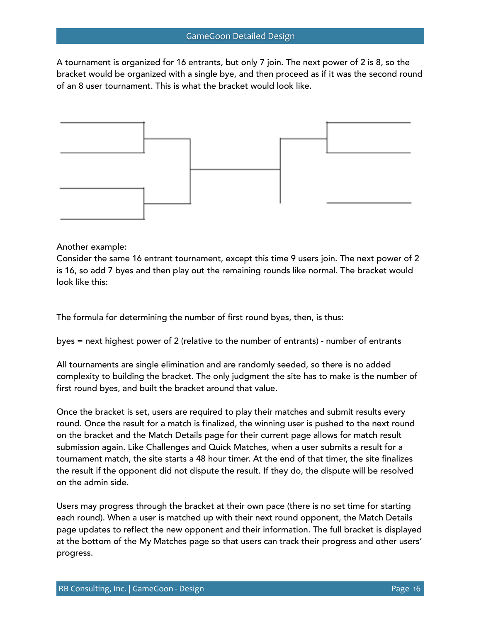A tournament is organized for 16 entrants, but only 7 join. The next power of 2 is 8, so the bracket would be organized with a single bye, and then proceed as if it was the second round of an 8 user tournament. This is what the bracket would look like.



#### Another example:

Consider the same 16 entrant tournament, except this time 9 users join. The next power of 2 is 16, so add 7 byes and then play out the remaining rounds like normal. The bracket would look like this:

The formula for determining the number of first round byes, then, is thus:

byes = next highest power of 2 (relative to the number of entrants) - number of entrants

All tournaments are single elimination and are randomly seeded, so there is no added complexity to building the bracket. The only judgment the site has to make is the number of first round byes, and built the bracket around that value.

Once the bracket is set, users are required to play their matches and submit results every round. Once the result for a match is finalized, the winning user is pushed to the next round on the bracket and the Match Details page for their current page allows for match result submission again. Like Challenges and Quick Matches, when a user submits a result for a tournament match, the site starts a 48 hour timer. At the end of that timer, the site finalizes the result if the opponent did not dispute the result. If they do, the dispute will be resolved on the admin side.

Users may progress through the bracket at their own pace (there is no set time for starting each round). When a user is matched up with their next round opponent, the Match Details page updates to reflect the new opponent and their information. The full bracket is displayed at the bottom of the My Matches page so that users can track their progress and other users' progress.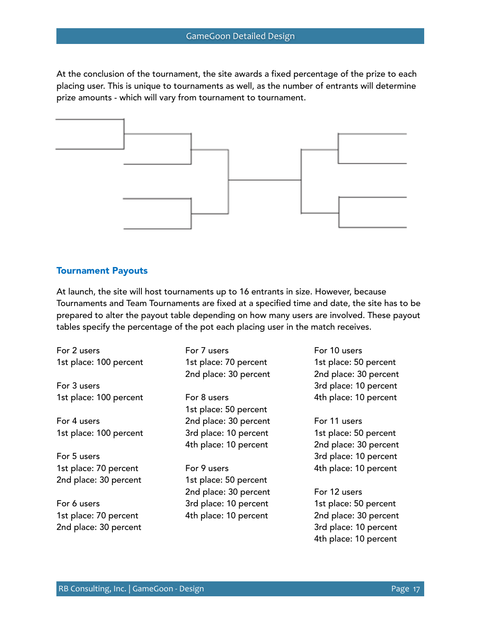At the conclusion of the tournament, the site awards a fixed percentage of the prize to each placing user. This is unique to tournaments as well, as the number of entrants will determine prize amounts - which will vary from tournament to tournament.



#### Tournament Payouts

At launch, the site will host tournaments up to 16 entrants in size. However, because Tournaments and Team Tournaments are fixed at a specified time and date, the site has to be prepared to alter the payout table depending on how many users are involved. These payout tables specify the percentage of the pot each placing user in the match receives.

| For 2 users            | For 7 users           |
|------------------------|-----------------------|
| 1st place: 100 percent | 1st place: 70 percent |
|                        | 2nd place: 30 percent |
| For 3 users            |                       |
| 1st place: 100 percent | For 8 users           |
|                        | 1st place: 50 percent |
| For 4 users            | 2nd place: 30 percent |
| 1st place: 100 percent | 3rd place: 10 percent |
|                        | 4th place: 10 percent |
| For 5 users            |                       |
| 1st place: 70 percent  | For 9 users           |
| 2nd place: 30 percent  | 1st place: 50 percent |
|                        | 2nd place: 30 percent |
| For 6 users            | 3rd place: 10 percent |
| 1st place: 70 percent  | 4th place: 10 percent |
|                        |                       |

For 10 users 1st place: 50 percent 2nd place: 30 percent 3rd place: 10 percent 4th place: 10 percent

For 11 users 1st place: 50 percent 2nd place: 30 percent 3rd place: 10 percent 4th place: 10 percent

For 12 users 1st place: 50 percent 2nd place: 30 percent 3rd place: 10 percent 4th place: 10 percent

2nd place: 30 percent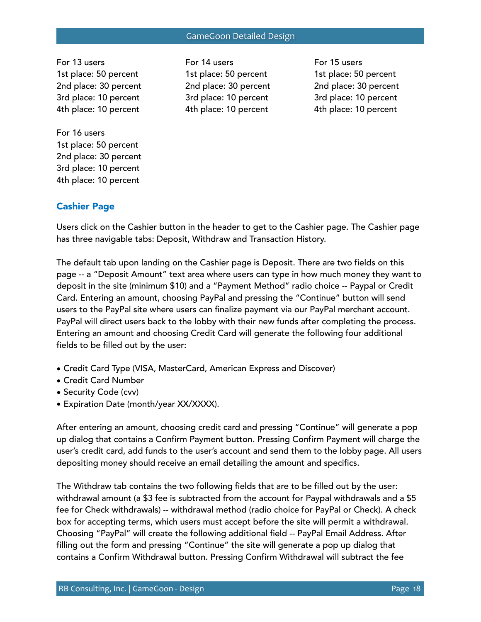For 13 users 1st place: 50 percent 2nd place: 30 percent 3rd place: 10 percent 4th place: 10 percent

For 16 users 1st place: 50 percent 2nd place: 30 percent 3rd place: 10 percent

4th place: 10 percent

For 14 users 1st place: 50 percent 2nd place: 30 percent 3rd place: 10 percent 4th place: 10 percent

For 15 users 1st place: 50 percent 2nd place: 30 percent 3rd place: 10 percent 4th place: 10 percent

# Cashier Page

Users click on the Cashier button in the header to get to the Cashier page. The Cashier page has three navigable tabs: Deposit, Withdraw and Transaction History.

The default tab upon landing on the Cashier page is Deposit. There are two fields on this page -- a "Deposit Amount" text area where users can type in how much money they want to deposit in the site (minimum \$10) and a "Payment Method" radio choice -- Paypal or Credit Card. Entering an amount, choosing PayPal and pressing the "Continue" button will send users to the PayPal site where users can finalize payment via our PayPal merchant account. PayPal will direct users back to the lobby with their new funds after completing the process. Entering an amount and choosing Credit Card will generate the following four additional fields to be filled out by the user:

- Credit Card Type (VISA, MasterCard, American Express and Discover)
- Credit Card Number
- Security Code (cvv)
- Expiration Date (month/year XX/XXXX).

After entering an amount, choosing credit card and pressing "Continue" will generate a pop up dialog that contains a Confirm Payment button. Pressing Confirm Payment will charge the user's credit card, add funds to the user's account and send them to the lobby page. All users depositing money should receive an email detailing the amount and specifics.

The Withdraw tab contains the two following fields that are to be filled out by the user: withdrawal amount (a \$3 fee is subtracted from the account for Paypal withdrawals and a \$5 fee for Check withdrawals) -- withdrawal method (radio choice for PayPal or Check). A check box for accepting terms, which users must accept before the site will permit a withdrawal. Choosing "PayPal" will create the following additional field -- PayPal Email Address. After filling out the form and pressing "Continue" the site will generate a pop up dialog that contains a Confirm Withdrawal button. Pressing Confirm Withdrawal will subtract the fee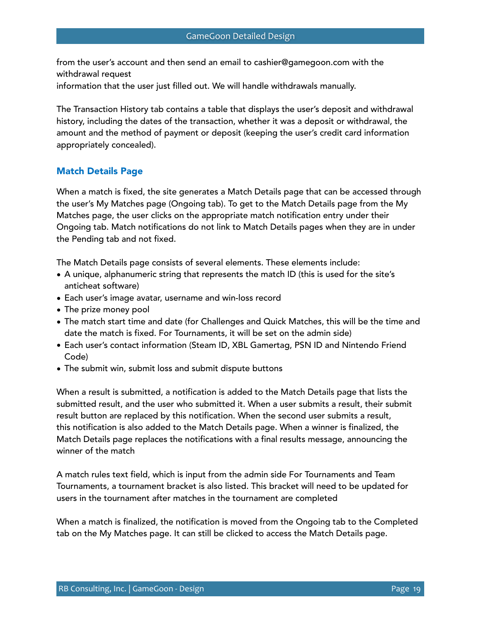from the user's account and then send an email to cashier@gamegoon.com with the withdrawal request information that the user just filled out. We will handle withdrawals manually.

The Transaction History tab contains a table that displays the user's deposit and withdrawal history, including the dates of the transaction, whether it was a deposit or withdrawal, the amount and the method of payment or deposit (keeping the user's credit card information appropriately concealed).

## Match Details Page

When a match is fixed, the site generates a Match Details page that can be accessed through the user's My Matches page (Ongoing tab). To get to the Match Details page from the My Matches page, the user clicks on the appropriate match notification entry under their Ongoing tab. Match notifications do not link to Match Details pages when they are in under the Pending tab and not fixed.

The Match Details page consists of several elements. These elements include:

- A unique, alphanumeric string that represents the match ID (this is used for the site's anticheat software)
- Each user's image avatar, username and win-loss record
- The prize money pool
- The match start time and date (for Challenges and Quick Matches, this will be the time and date the match is fixed. For Tournaments, it will be set on the admin side)
- Each user's contact information (Steam ID, XBL Gamertag, PSN ID and Nintendo Friend Code)
- The submit win, submit loss and submit dispute buttons

When a result is submitted, a notification is added to the Match Details page that lists the submitted result, and the user who submitted it. When a user submits a result, their submit result button are replaced by this notification. When the second user submits a result, this notification is also added to the Match Details page. When a winner is finalized, the Match Details page replaces the notifications with a final results message, announcing the winner of the match

A match rules text field, which is input from the admin side For Tournaments and Team Tournaments, a tournament bracket is also listed. This bracket will need to be updated for users in the tournament after matches in the tournament are completed

When a match is finalized, the notification is moved from the Ongoing tab to the Completed tab on the My Matches page. It can still be clicked to access the Match Details page.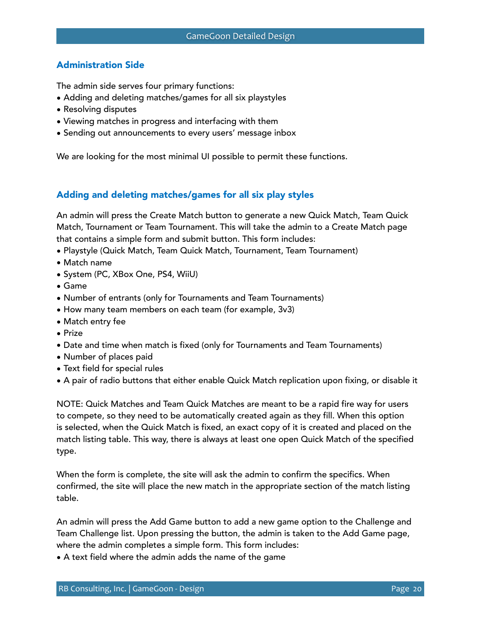# Administration Side

The admin side serves four primary functions:

- Adding and deleting matches/games for all six playstyles
- Resolving disputes
- Viewing matches in progress and interfacing with them
- Sending out announcements to every users' message inbox

We are looking for the most minimal UI possible to permit these functions.

### Adding and deleting matches/games for all six play styles

An admin will press the Create Match button to generate a new Quick Match, Team Quick Match, Tournament or Team Tournament. This will take the admin to a Create Match page that contains a simple form and submit button. This form includes:

- Playstyle (Quick Match, Team Quick Match, Tournament, Team Tournament)
- Match name
- System (PC, XBox One, PS4, WiiU)
- Game
- Number of entrants (only for Tournaments and Team Tournaments)
- How many team members on each team (for example, 3v3)
- Match entry fee
- Prize
- Date and time when match is fixed (only for Tournaments and Team Tournaments)
- Number of places paid
- Text field for special rules
- A pair of radio buttons that either enable Quick Match replication upon fixing, or disable it

NOTE: Quick Matches and Team Quick Matches are meant to be a rapid fire way for users to compete, so they need to be automatically created again as they fill. When this option is selected, when the Quick Match is fixed, an exact copy of it is created and placed on the match listing table. This way, there is always at least one open Quick Match of the specified type.

When the form is complete, the site will ask the admin to confirm the specifics. When confirmed, the site will place the new match in the appropriate section of the match listing table.

An admin will press the Add Game button to add a new game option to the Challenge and Team Challenge list. Upon pressing the button, the admin is taken to the Add Game page, where the admin completes a simple form. This form includes:

• A text field where the admin adds the name of the game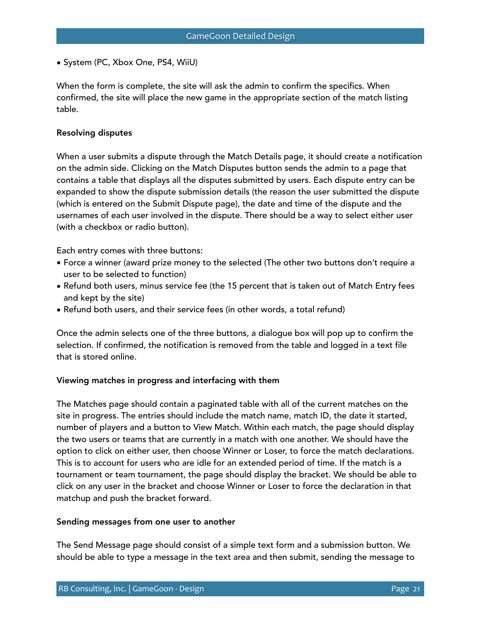• System (PC, Xbox One, PS4, WiiU)

When the form is complete, the site will ask the admin to confirm the specifics. When confirmed, the site will place the new game in the appropriate section of the match listing table.

### Resolving disputes

When a user submits a dispute through the Match Details page, it should create a notification on the admin side. Clicking on the Match Disputes button sends the admin to a page that contains a table that displays all the disputes submitted by users. Each dispute entry can be expanded to show the dispute submission details (the reason the user submitted the dispute (which is entered on the Submit Dispute page), the date and time of the dispute and the usernames of each user involved in the dispute. There should be a way to select either user (with a checkbox or radio button).

Each entry comes with three buttons:

- Force a winner (award prize money to the selected (The other two buttons don't require a user to be selected to function)
- Refund both users, minus service fee (the 15 percent that is taken out of Match Entry fees and kept by the site)
- Refund both users, and their service fees (in other words, a total refund)

Once the admin selects one of the three buttons, a dialogue box will pop up to confirm the selection. If confirmed, the notification is removed from the table and logged in a text file that is stored online.

## Viewing matches in progress and interfacing with them

The Matches page should contain a paginated table with all of the current matches on the site in progress. The entries should include the match name, match ID, the date it started, number of players and a button to View Match. Within each match, the page should display the two users or teams that are currently in a match with one another. We should have the option to click on either user, then choose Winner or Loser, to force the match declarations. This is to account for users who are idle for an extended period of time. If the match is a tournament or team tournament, the page should display the bracket. We should be able to click on any user in the bracket and choose Winner or Loser to force the declaration in that matchup and push the bracket forward.

### Sending messages from one user to another

The Send Message page should consist of a simple text form and a submission button. We should be able to type a message in the text area and then submit, sending the message to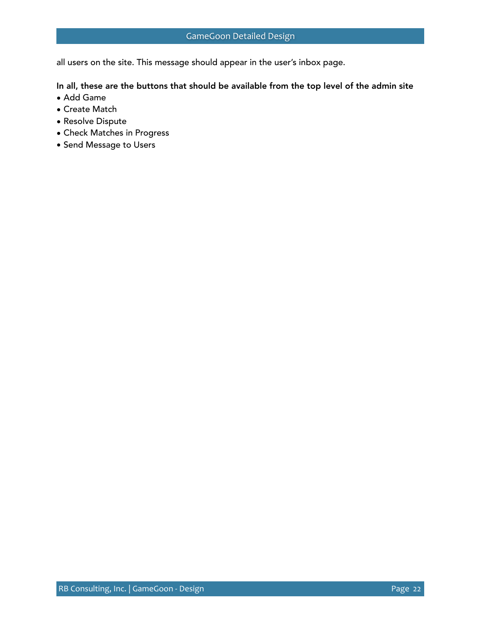all users on the site. This message should appear in the user's inbox page.

In all, these are the buttons that should be available from the top level of the admin site

- Add Game
- Create Match
- Resolve Dispute
- Check Matches in Progress
- Send Message to Users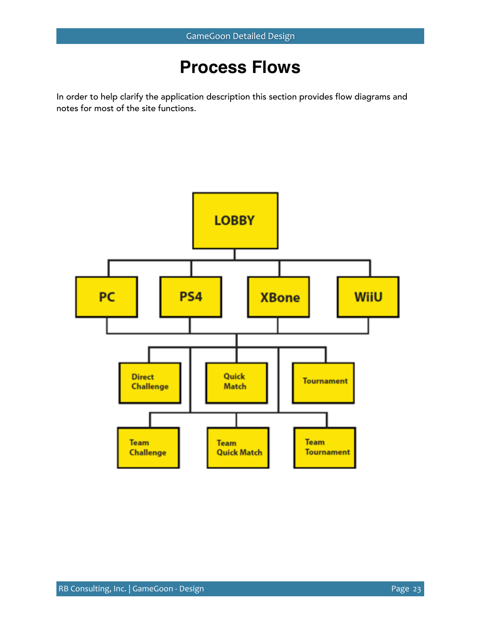# **Process Flows**

In order to help clarify the application description this section provides flow diagrams and notes for most of the site functions.

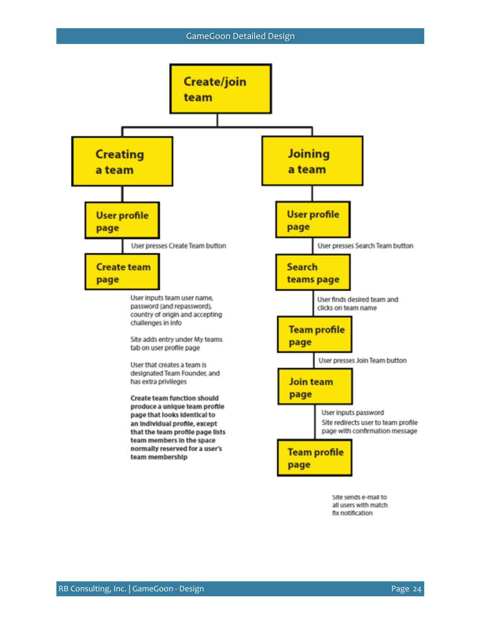#### GameGoon Detailed Design



fix notification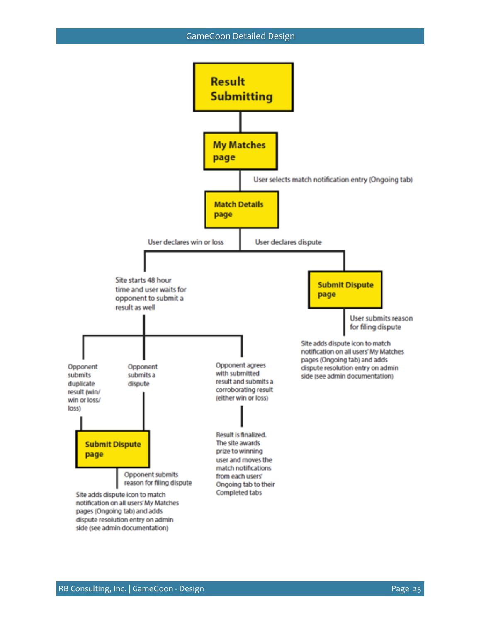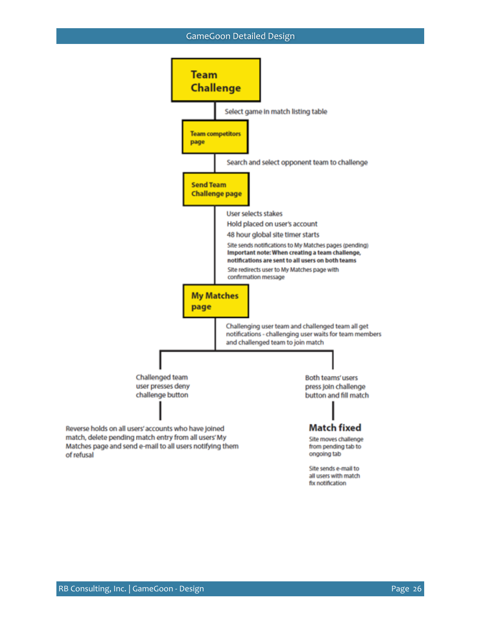#### GameGoon Detailed Design

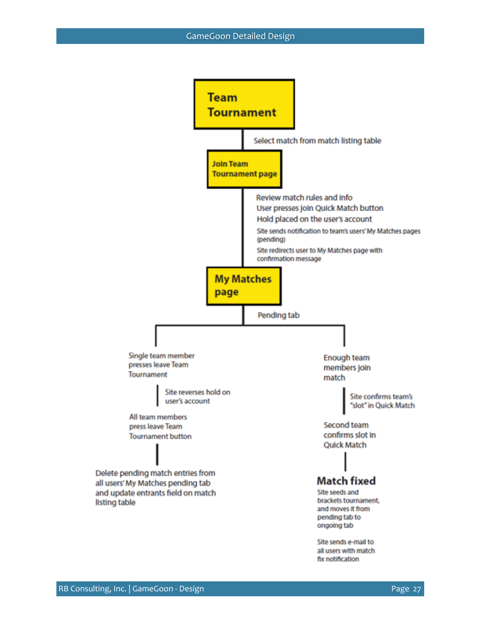